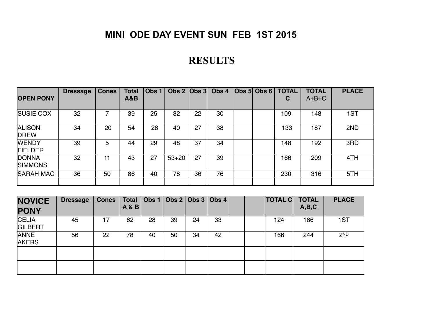## **MINI ODE DAY EVENT SUN FEB 1ST 2015**

## **RESULTS**

| <b>OPEN PONY</b>               | <b>Dressage</b> | <b>Cones</b> | <b>Total</b><br><b>A&amp;B</b> | Obs 1 | Obs $2$ $ Obs3 $ |    | Obs 4 | $\vert$ Obs 5 $\vert$ Obs 6 $\vert$ | <b>TOTAL</b><br>C | <b>TOTAL</b><br>$A+B+C$ | <b>PLACE</b> |
|--------------------------------|-----------------|--------------|--------------------------------|-------|------------------|----|-------|-------------------------------------|-------------------|-------------------------|--------------|
| <b>SUSIE COX</b>               | 32              |              | 39                             | 25    | 32               | 22 | 30    |                                     | 109               | 148                     | 1ST          |
| <b>ALISON</b><br><b>DREW</b>   | 34              | 20           | 54                             | 28    | 40               | 27 | 38    |                                     | 133               | 187                     | 2ND          |
| <b>WENDY</b><br><b>FIELDER</b> | 39              | 5            | 44                             | 29    | 48               | 37 | 34    |                                     | 148               | 192                     | 3RD          |
| <b>DONNA</b><br><b>SIMMONS</b> | 32              |              | 43                             | 27    | $53 + 20$        | 27 | 39    |                                     | 166               | 209                     | 4TH          |
| <b>SARAH MAC</b>               | 36              | 50           | 86                             | 40    | 78               | 36 | 76    |                                     | 230               | 316                     | 5TH          |

| <b>NOVICE</b><br><b>PONY</b>   | <b>Dressage</b> | <b>Cones</b> | <b>Total</b><br><b>A&amp;B</b> |    | Obs 1   Obs 2   Obs 3   Obs 4 |    |    |  | <b>TOTAL C</b> | <b>TOTAL</b><br>A,B,C | <b>PLACE</b>    |
|--------------------------------|-----------------|--------------|--------------------------------|----|-------------------------------|----|----|--|----------------|-----------------------|-----------------|
| <b>CELIA</b><br><b>GILBERT</b> | 45              |              | 62                             | 28 | 39                            | 24 | 33 |  | 124            | 186                   | 1ST             |
| <b>ANNE</b><br><b>AKERS</b>    | 56              | 22           | 78                             | 40 | 50                            | 34 | 42 |  | 166            | 244                   | 2 <sub>ND</sub> |
|                                |                 |              |                                |    |                               |    |    |  |                |                       |                 |
|                                |                 |              |                                |    |                               |    |    |  |                |                       |                 |